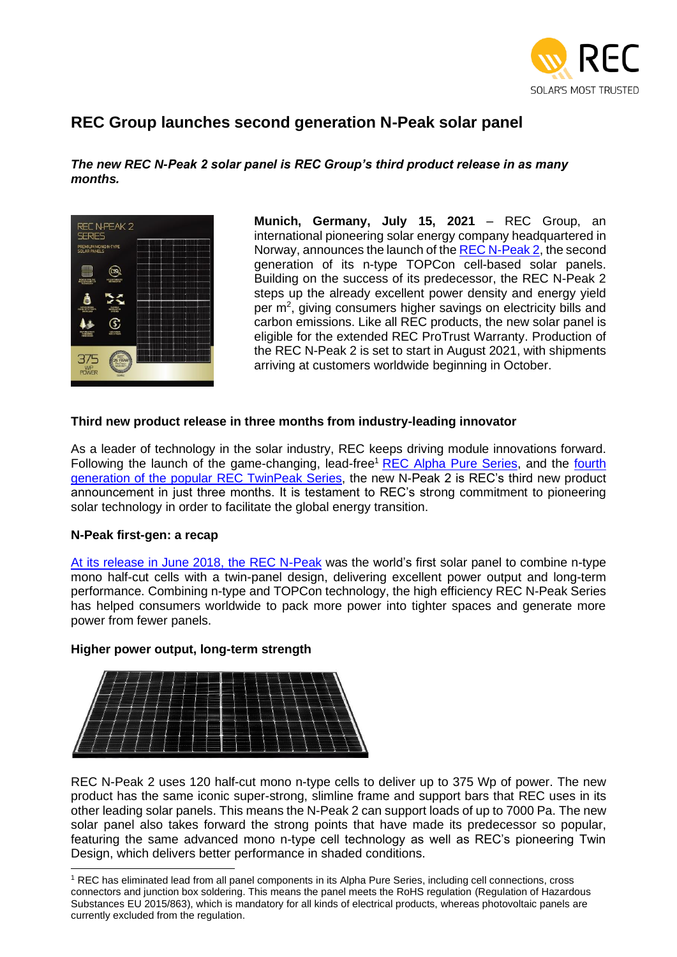

# **REC Group launches second generation N-Peak solar panel**

*The new REC N-Peak 2 solar panel is REC Group's third product release in as many months.*



**Munich, Germany, July 15, 2021** – REC Group, an international pioneering solar energy company headquartered in Norway, announces the launch of the [REC N-Peak 2,](https://www.recgroup.com/en/products/rec-n-peak-2-en?utm_source=PR&utm_medium=Press%20Release&utm_campaign=NP2%20Launch) the second generation of its n-type TOPCon cell-based solar panels. Building on the success of its predecessor, the REC N-Peak 2 steps up the already excellent power density and energy yield per m<sup>2</sup>, giving consumers higher savings on electricity bills and carbon emissions. Like all REC products, the new solar panel is eligible for the extended REC ProTrust Warranty. Production of the REC N-Peak 2 is set to start in August 2021, with shipments arriving at customers worldwide beginning in October.

## **Third new product release in three months from industry-leading innovator**

As a leader of technology in the solar industry, REC keeps driving module innovations forward. Following the launch of the game-changing, lead-free<sup>1</sup> [REC Alpha Pure Series,](https://www.recgroup.com/en/products/rec-alpha-pure-en?parent=81&type=product&utm_source=PR&utm_medium=Press%20Release&utm_campaign=NP2%20Launch) and the fourth [generation of the popular REC TwinPeak Series,](https://www.recgroup.com/en/products/rec-twinpeak-4-en?parent=81&type=product&utm_source=PR&utm_medium=Press%20Release&utm_campaign=NP2%20Launch) the new N-Peak 2 is REC's third new product announcement in just three months. It is testament to REC's strong commitment to pioneering solar technology in order to facilitate the global energy transition.

### **N-Peak first-gen: a recap**

[At its release in June 2018, the REC N-Peak](https://www.recgroup.com/en/news/rec-group-begins-new-era-launch-world%E2%80%99s-first-n-type-mono-solar-panel-twin-design?utm_source=PR&utm_medium=Press%20Release&utm_campaign=NP2%20Launch) was the world's first solar panel to combine n-type mono half-cut cells with a twin-panel design, delivering excellent power output and long-term performance. Combining n-type and TOPCon technology, the high efficiency REC N-Peak Series has helped consumers worldwide to pack more power into tighter spaces and generate more power from fewer panels.

### **Higher power output, long-term strength**



REC N-Peak 2 uses 120 half-cut mono n-type cells to deliver up to 375 Wp of power. The new product has the same iconic super-strong, slimline frame and support bars that REC uses in its other leading solar panels. This means the N-Peak 2 can support loads of up to 7000 Pa. The new solar panel also takes forward the strong points that have made its predecessor so popular, featuring the same advanced mono n-type cell technology as well as REC's pioneering Twin Design, which delivers better performance in shaded conditions.

<sup>1</sup> REC has eliminated lead from all panel components in its Alpha Pure Series, including cell connections, cross connectors and junction box soldering. This means the panel meets the RoHS regulation (Regulation of Hazardous Substances EU 2015/863), which is mandatory for all kinds of electrical products, whereas photovoltaic panels are currently excluded from the regulation.